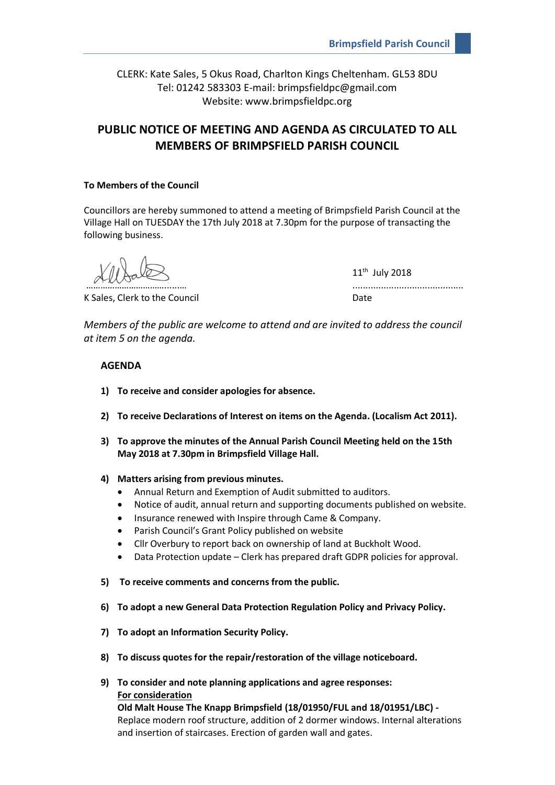CLERK: Kate Sales, 5 Okus Road, Charlton Kings Cheltenham. GL53 8DU Tel: 01242 583303 E-mail: brimpsfieldpc@gmail.com Website: www.brimpsfieldpc.org

# **PUBLIC NOTICE OF MEETING AND AGENDA AS CIRCULATED TO ALL MEMBERS OF BRIMPSFIELD PARISH COUNCIL**

## **To Members of the Council**

Councillors are hereby summoned to attend a meeting of Brimpsfield Parish Council at the Village Hall on TUESDAY the 17th July 2018 at 7.30pm for the purpose of transacting the following business.

K Sales, Clerk to the Council **Example 20** Date

11th July 2018 ……………………………......… ...........................................

*Members of the public are welcome to attend and are invited to address the council at item 5 on the agenda.*

# **AGENDA**

- **1) To receive and consider apologies for absence.**
- **2) To receive Declarations of Interest on items on the Agenda. (Localism Act 2011).**
- **3) To approve the minutes of the Annual Parish Council Meeting held on the 15th May 2018 at 7.30pm in Brimpsfield Village Hall.**
- **4) Matters arising from previous minutes.**
	- Annual Return and Exemption of Audit submitted to auditors.
	- Notice of audit, annual return and supporting documents published on website.
	- Insurance renewed with Inspire through Came & Company.
	- Parish Council's Grant Policy published on website
	- Cllr Overbury to report back on ownership of land at Buckholt Wood.
	- Data Protection update Clerk has prepared draft GDPR policies for approval.
- **5) To receive comments and concerns from the public.**
- **6) To adopt a new General Data Protection Regulation Policy and Privacy Policy.**
- **7) To adopt an Information Security Policy.**
- **8) To discuss quotes for the repair/restoration of the village noticeboard.**
- **9) To consider and note planning applications and agree responses: For consideration Old Malt House The Knapp Brimpsfield (18/01950/FUL and 18/01951/LBC) -**  Replace modern roof structure, addition of 2 dormer windows. Internal alterations

and insertion of staircases. Erection of garden wall and gates.